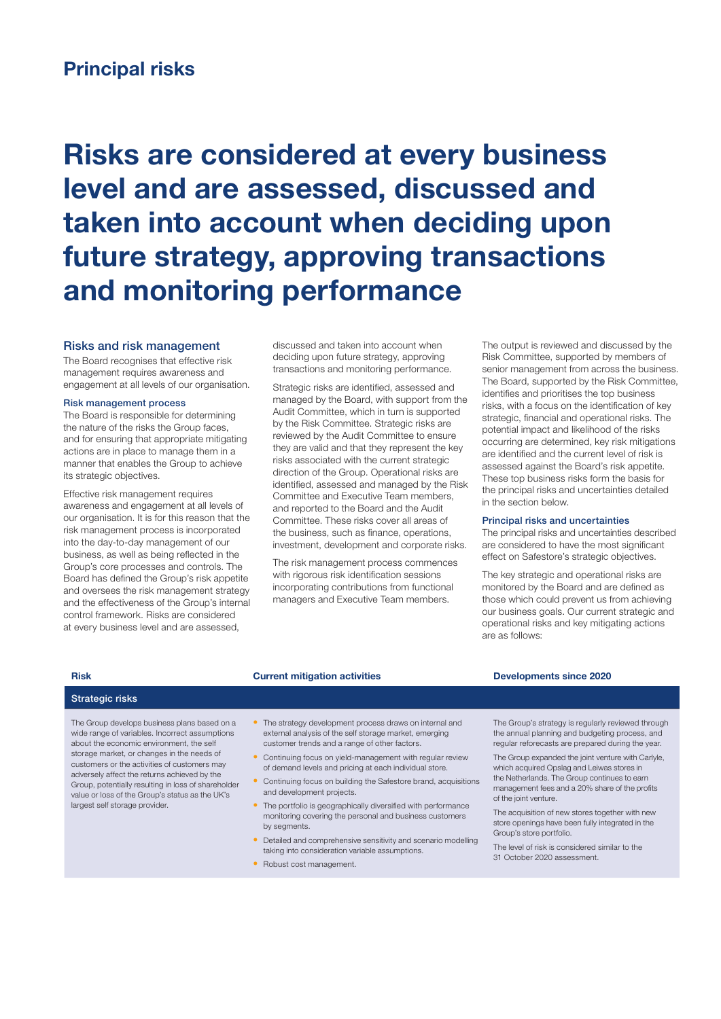## Principal risks

# Risks are considered at every business level and are assessed, discussed and taken into account when deciding upon future strategy, approving transactions and monitoring performance

#### Risks and risk management

The Board recognises that effective risk management requires awareness and engagement at all levels of our organisation.

#### Risk management process

The Board is responsible for determining the nature of the risks the Group faces, and for ensuring that appropriate mitigating actions are in place to manage them in a manner that enables the Group to achieve its strategic objectives.

Effective risk management requires awareness and engagement at all levels of our organisation. It is for this reason that the risk management process is incorporated into the day-to-day management of our business, as well as being reflected in the Group's core processes and controls. The Board has defined the Group's risk appetite and oversees the risk management strategy and the effectiveness of the Group's internal control framework. Risks are considered at every business level and are assessed,

discussed and taken into account when deciding upon future strategy, approving transactions and monitoring performance.

Strategic risks are identified, assessed and managed by the Board, with support from the Audit Committee, which in turn is supported by the Risk Committee. Strategic risks are reviewed by the Audit Committee to ensure they are valid and that they represent the key risks associated with the current strategic direction of the Group. Operational risks are identified, assessed and managed by the Risk Committee and Executive Team members, and reported to the Board and the Audit Committee. These risks cover all areas of the business, such as finance, operations, investment, development and corporate risks.

The risk management process commences with rigorous risk identification sessions incorporating contributions from functional managers and Executive Team members.

The output is reviewed and discussed by the Risk Committee, supported by members of senior management from across the business. The Board, supported by the Risk Committee, identifies and prioritises the top business risks, with a focus on the identification of key strategic, financial and operational risks. The potential impact and likelihood of the risks occurring are determined, key risk mitigations are identified and the current level of risk is assessed against the Board's risk appetite. These top business risks form the basis for the principal risks and uncertainties detailed in the section below.

#### Principal risks and uncertainties

The principal risks and uncertainties described are considered to have the most significant effect on Safestore's strategic objectives.

The key strategic and operational risks are monitored by the Board and are defined as those which could prevent us from achieving our business goals. Our current strategic and operational risks and key mitigating actions are as follows:

### Strategic risks

The Group develops business plans based on a wide range of variables. Incorrect assumptions about the economic environment, the self storage market, or changes in the needs of customers or the activities of customers may adversely affect the returns achieved by the Group, potentially resulting in loss of shareholder value or loss of the Group's status as the UK's largest self storage provider.

- The strategy development process draws on internal and external analysis of the self storage market, emerging customer trends and a range of other factors.
- Continuing focus on yield-management with regular review of demand levels and pricing at each individual store.
- Continuing focus on building the Safestore brand, acquisitions and development projects.
- The portfolio is geographically diversified with performance monitoring covering the personal and business customers by segments.
- Detailed and comprehensive sensitivity and scenario modelling
- taking into consideration variable assumptions. • Robust cost management.

#### Risk Current mitigation activities Developments since 2020

The Group's strategy is regularly reviewed through the annual planning and budgeting process, and regular reforecasts are prepared during the year.

The Group expanded the joint venture with Carlyle, which acquired Opslag and Leiwas stores in the Netherlands. The Group continues to earn management fees and a 20% share of the profits of the joint venture.

The acquisition of new stores together with new store openings have been fully integrated in the Group's store portfolio.

The level of risk is considered similar to the 31 October 2020 assessment.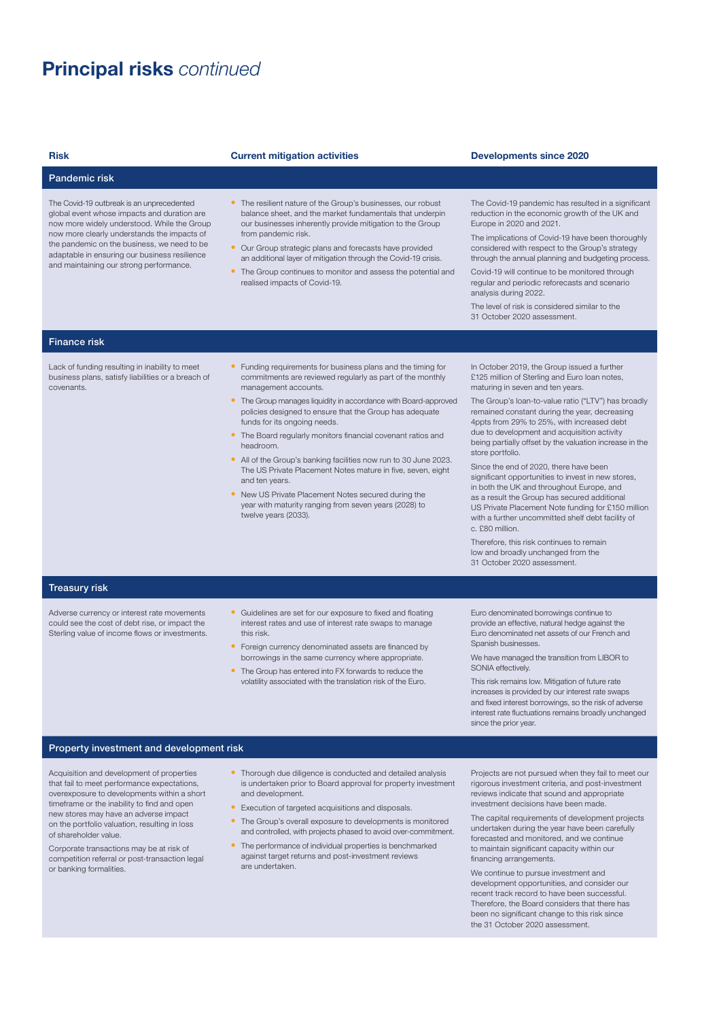# Principal risks *continued*

#### Risk Current mitigation activities Developments since 2020

#### Pandemic risk

The Covid-19 outbreak is an unprecedented global event whose impacts and duration are now more widely understood. While the Group now more clearly understands the impacts of the pandemic on the business, we need to be adaptable in ensuring our business resilience and maintaining our strong performance.

- The resilient nature of the Group's businesses, our robust balance sheet, and the market fundamentals that underpin our businesses inherently provide mitigation to the Group from pandemic risk.
- Our Group strategic plans and forecasts have provided an additional layer of mitigation through the Covid-19 crisis.
- The Group continues to monitor and assess the potential and realised impacts of Covid-19.

The Covid-19 pandemic has resulted in a significant reduction in the economic growth of the UK and Europe in 2020 and 2021.

The implications of Covid-19 have been thoroughly considered with respect to the Group's strategy through the annual planning and budgeting process.

Covid-19 will continue to be monitored through regular and periodic reforecasts and scenario analysis during 2022.

The level of risk is considered similar to the 31 October 2020 assessment.

### Finance risk

Lack of funding resulting in inability to meet business plans, satisfy liabilities or a breach of covenants.

- Funding requirements for business plans and the timing for commitments are reviewed regularly as part of the monthly management accounts.
- The Group manages liquidity in accordance with Board-approved policies designed to ensure that the Group has adequate funds for its ongoing needs.
- The Board regularly monitors financial covenant ratios and headroom.
- All of the Group's banking facilities now run to 30 June 2023. The US Private Placement Notes mature in five, seven, eight and ten years.
- New US Private Placement Notes secured during the year with maturity ranging from seven years (2028) to twelve years (2033).

In October 2019, the Group issued a further £125 million of Sterling and Euro loan notes, maturing in seven and ten years.

The Group's loan-to-value ratio ("LTV") has broadly remained constant during the year, decreasing 4ppts from 29% to 25%, with increased debt due to development and acquisition activity being partially offset by the valuation increase in the store portfolio.

Since the end of 2020, there have been significant opportunities to invest in new stores. in both the UK and throughout Europe, and as a result the Group has secured additional US Private Placement Note funding for £150 million with a further uncommitted shelf debt facility of c. £80 million.

Therefore, this risk continues to remain low and broadly unchanged from the 31 October 2020 assessment.

### Treasury risk

Adverse currency or interest rate movements could see the cost of debt rise, or impact the Sterling value of income flows or investments.

- Guidelines are set for our exposure to fixed and floating interest rates and use of interest rate swaps to manage this risk.
- Foreign currency denominated assets are financed by borrowings in the same currency where appropriate.
- The Group has entered into FX forwards to reduce the volatility associated with the translation risk of the Euro.

Euro denominated borrowings continue to provide an effective, natural hedge against the Euro denominated net assets of our French and Spanish businesses.

We have managed the transition from LIBOR to SONIA effectively.

This risk remains low. Mitigation of future rate increases is provided by our interest rate swaps and fixed interest borrowings, so the risk of adverse interest rate fluctuations remains broadly unchanged since the prior year.

### Property investment and development risk

Acquisition and development of properties that fail to meet performance expectations, overexposure to developments within a short timeframe or the inability to find and open new stores may have an adverse impact on the portfolio valuation, resulting in loss of shareholder value.

Corporate transactions may be at risk of competition referral or post-transaction legal or banking formalities.

- Thorough due diligence is conducted and detailed analysis is undertaken prior to Board approval for property investment and development.
- Execution of targeted acquisitions and disposals.
- The Group's overall exposure to developments is monitored and controlled, with projects phased to avoid over-commitment.
- The performance of individual properties is benchmarked against target returns and post-investment reviews are undertaken.

Projects are not pursued when they fail to meet our rigorous investment criteria, and post-investment reviews indicate that sound and appropriate investment decisions have been made.

The capital requirements of development projects undertaken during the year have been carefully forecasted and monitored, and we continue to maintain significant capacity within our financing arrangements.

We continue to pursue investment and development opportunities, and consider our recent track record to have been successful. Therefore, the Board considers that there has been no significant change to this risk since the 31 October 2020 assessment.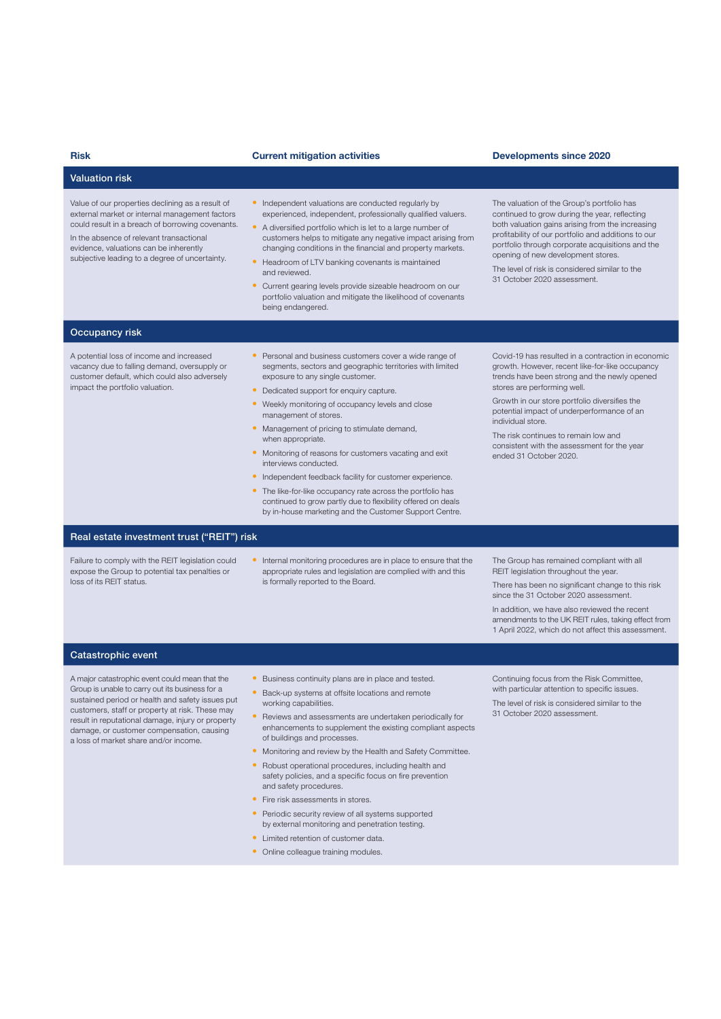| <b>Risk</b>                                                                                                                                                                                                                                                                                    | <b>Current mitigation activities</b>                                                                                                                                                                                                                                                                                                                                                                                                                                                                                                                                                                                                                                                                | <b>Developments since 2020</b>                                                                                                                                                                                                                                                                                                                                                                                            |
|------------------------------------------------------------------------------------------------------------------------------------------------------------------------------------------------------------------------------------------------------------------------------------------------|-----------------------------------------------------------------------------------------------------------------------------------------------------------------------------------------------------------------------------------------------------------------------------------------------------------------------------------------------------------------------------------------------------------------------------------------------------------------------------------------------------------------------------------------------------------------------------------------------------------------------------------------------------------------------------------------------------|---------------------------------------------------------------------------------------------------------------------------------------------------------------------------------------------------------------------------------------------------------------------------------------------------------------------------------------------------------------------------------------------------------------------------|
| <b>Valuation risk</b>                                                                                                                                                                                                                                                                          |                                                                                                                                                                                                                                                                                                                                                                                                                                                                                                                                                                                                                                                                                                     |                                                                                                                                                                                                                                                                                                                                                                                                                           |
| Value of our properties declining as a result of<br>external market or internal management factors<br>could result in a breach of borrowing covenants.<br>In the absence of relevant transactional<br>evidence, valuations can be inherently<br>subjective leading to a degree of uncertainty. | • Independent valuations are conducted regularly by<br>experienced, independent, professionally qualified valuers.<br>• A diversified portfolio which is let to a large number of<br>customers helps to mitigate any negative impact arising from<br>changing conditions in the financial and property markets.<br>Headroom of LTV banking covenants is maintained<br>and reviewed.<br>Current gearing levels provide sizeable headroom on our<br>$\bullet$<br>portfolio valuation and mitigate the likelihood of covenants<br>being endangered.                                                                                                                                                    | The valuation of the Group's portfolio has<br>continued to grow during the year, reflecting<br>both valuation gains arising from the increasing<br>profitability of our portfolio and additions to our<br>portfolio through corporate acquisitions and the<br>opening of new development stores.<br>The level of risk is considered similar to the<br>31 October 2020 assessment.                                         |
| Occupancy risk                                                                                                                                                                                                                                                                                 |                                                                                                                                                                                                                                                                                                                                                                                                                                                                                                                                                                                                                                                                                                     |                                                                                                                                                                                                                                                                                                                                                                                                                           |
| A potential loss of income and increased<br>vacancy due to falling demand, oversupply or<br>customer default, which could also adversely<br>impact the portfolio valuation.                                                                                                                    | • Personal and business customers cover a wide range of<br>segments, sectors and geographic territories with limited<br>exposure to any single customer.<br>Dedicated support for enquiry capture.<br>٠<br>• Weekly monitoring of occupancy levels and close<br>management of stores.<br>• Management of pricing to stimulate demand,<br>when appropriate.<br>• Monitoring of reasons for customers vacating and exit<br>interviews conducted.<br>• Independent feedback facility for customer experience.<br>• The like-for-like occupancy rate across the portfolio has<br>continued to grow partly due to flexibility offered on deals<br>by in-house marketing and the Customer Support Centre. | Covid-19 has resulted in a contraction in economic<br>growth. However, recent like-for-like occupancy<br>trends have been strong and the newly opened<br>stores are performing well.<br>Growth in our store portfolio diversifies the<br>potential impact of underperformance of an<br>individual store.<br>The risk continues to remain low and<br>consistent with the assessment for the year<br>ended 31 October 2020. |
| Real estate investment trust ("REIT") risk                                                                                                                                                                                                                                                     |                                                                                                                                                                                                                                                                                                                                                                                                                                                                                                                                                                                                                                                                                                     |                                                                                                                                                                                                                                                                                                                                                                                                                           |
| Failure to comply with the REIT legislation could<br>expose the Group to potential tax penalties or<br>loss of its REIT status.                                                                                                                                                                | Internal monitoring procedures are in place to ensure that the<br>$\bullet$<br>appropriate rules and legislation are complied with and this<br>is formally reported to the Board.                                                                                                                                                                                                                                                                                                                                                                                                                                                                                                                   | The Group has remained compliant with all<br>REIT legislation throughout the year.<br>There has been no gionificant change to this rick                                                                                                                                                                                                                                                                                   |

### Catastrophic event

A major catastrophic event could mean that the Group is unable to carry out its business for a sustained period or health and safety issues put customers, staff or property at risk. These may result in reputational damage, injury or property damage, or customer compensation, causing a loss of market share and/or income.

is formally reported to the Board.

There has been no significant change to this risk since the 31 October 2020 assessment.

In addition, we have also reviewed the recent amendments to the UK REIT rules, taking effect from 1 April 2022, which do not affect this assessment.

#### • Business continuity plans are in place and tested.

- Back-up systems at offsite locations and remote working capabilities.
- Reviews and assessments are undertaken periodically for enhancements to supplement the existing compliant aspects of buildings and processes.
- Monitoring and review by the Health and Safety Committee.
- Robust operational procedures, including health and safety policies, and a specific focus on fire prevention and safety procedures.
- Fire risk assessments in stores.
- Periodic security review of all systems supported by external monitoring and penetration testing.
- Limited retention of customer data.
- Online colleague training modules.

Continuing focus from the Risk Committee, with particular attention to specific issues. The level of risk is considered similar to the 31 October 2020 assessment.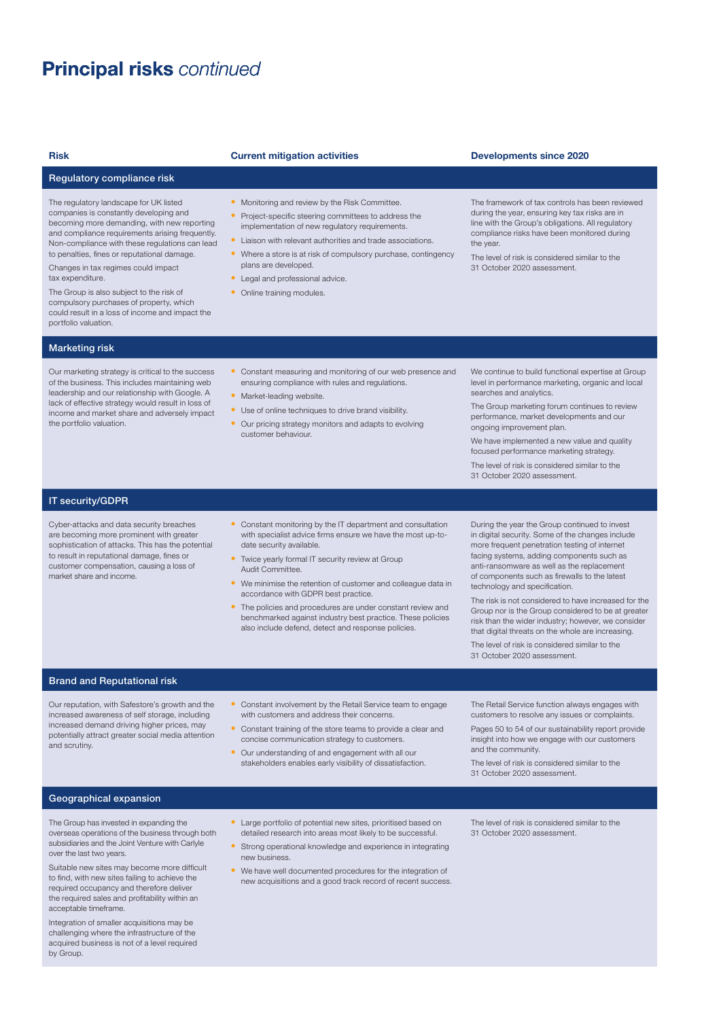# Principal risks *continued* Principal risks *continued*

### Regulatory compliance risk

The regulatory landscape for UK listed companies is constantly developing and becoming more demanding, with new reporting and compliance requirements arising frequently. Non-compliance with these regulations can lead to penalties, fines or reputational damage.

Changes in tax regimes could impact tax expenditure.

The Group is also subject to the risk of compulsory purchases of property, which could result in a loss of income and impact the portfolio valuation.

#### Marketing risk

Our marketing strategy is critical to the success of the business. This includes maintaining web leadership and our relationship with Google. A lack of effective strategy would result in loss of income and market share and adversely impact the portfolio valuation.

#### Risk Current mitigation activities Developments since 2020

- Monitoring and review by the Risk Committee
- Project-specific steering committees to address the implementation of new regulatory requirements.
- Liaison with relevant authorities and trade associations.
- Where a store is at risk of compulsory purchase, contingency plans are developed.
- Legal and professional advice.
- Online training modules.

The framework of tax controls has been reviewed during the year, ensuring key tax risks are in line with the Group's obligations. All regulatory compliance risks have been monitored during

the year.

The level of risk is considered similar to the 31 October 2020 assessment.

- Constant measuring and monitoring of our web presence and ensuring compliance with rules and regulations.
- Market-leading website.
- Use of online techniques to drive brand visibility.
- Our pricing strategy monitors and adapts to evolving customer behaviour.

We continue to build functional expertise at Group level in performance marketing, organic and local searches and analytics.

The Group marketing forum continues to review performance, market developments and our ongoing improvement plan.

We have implemented a new value and quality focused performance marketing strategy.

The level of risk is considered similar to the 31 October 2020 assessment.

### IT security/GDPR

Cyber-attacks and data security breaches are becoming more prominent with greater sophistication of attacks. This has the potential to result in reputational damage, fines or customer compensation, causing a loss of market share and income.

- Constant monitoring by the IT department and consultation with specialist advice firms ensure we have the most up-todate security available.
- Twice yearly formal IT security review at Group Audit Committee.
- We minimise the retention of customer and colleague data in accordance with GDPR best practice.
- The policies and procedures are under constant review and benchmarked against industry best practice. These policies also include defend, detect and response policies.

During the year the Group continued to invest in digital security. Some of the changes include more frequent penetration testing of internet facing systems, adding components such as anti-ransomware as well as the replacement of components such as firewalls to the latest technology and specification.

The risk is not considered to have increased for the Group nor is the Group considered to be at greater risk than the wider industry; however, we consider that digital threats on the whole are increasing.

The level of risk is considered similar to the 31 October 2020 assessment.

#### Brand and Reputational risk

Our reputation, with Safestore's growth and the increased awareness of self storage, including increased demand driving higher prices, may potentially attract greater social media attention and scrutiny.

- Constant involvement by the Retail Service team to engage with customers and address their concerns.
- Constant training of the store teams to provide a clear and concise communication strategy to customers.
- Our understanding of and engagement with all our stakeholders enables early visibility of dissatisfaction.

The Retail Service function always engages with customers to resolve any issues or complaints.

Pages 50 to 54 of our sustainability report provide insight into how we engage with our customers and the community.

The level of risk is considered similar to the 31 October 2020 assessment.

#### Geographical expansion

The Group has invested in expanding the overseas operations of the business through both subsidiaries and the Joint Venture with Carlyle over the last two years.

Suitable new sites may become more difficult to find, with new sites failing to achieve the required occupancy and therefore deliver the required sales and profitability within an acceptable timeframe.

Integration of smaller acquisitions may be challenging where the infrastructure of the acquired business is not of a level required by Group.

- Large portfolio of potential new sites, prioritised based on detailed research into areas most likely to be successful.
- Strong operational knowledge and experience in integrating new business.
- We have well documented procedures for the integration of new acquisitions and a good track record of recent success.

The level of risk is considered similar to the 31 October 2020 assessment.